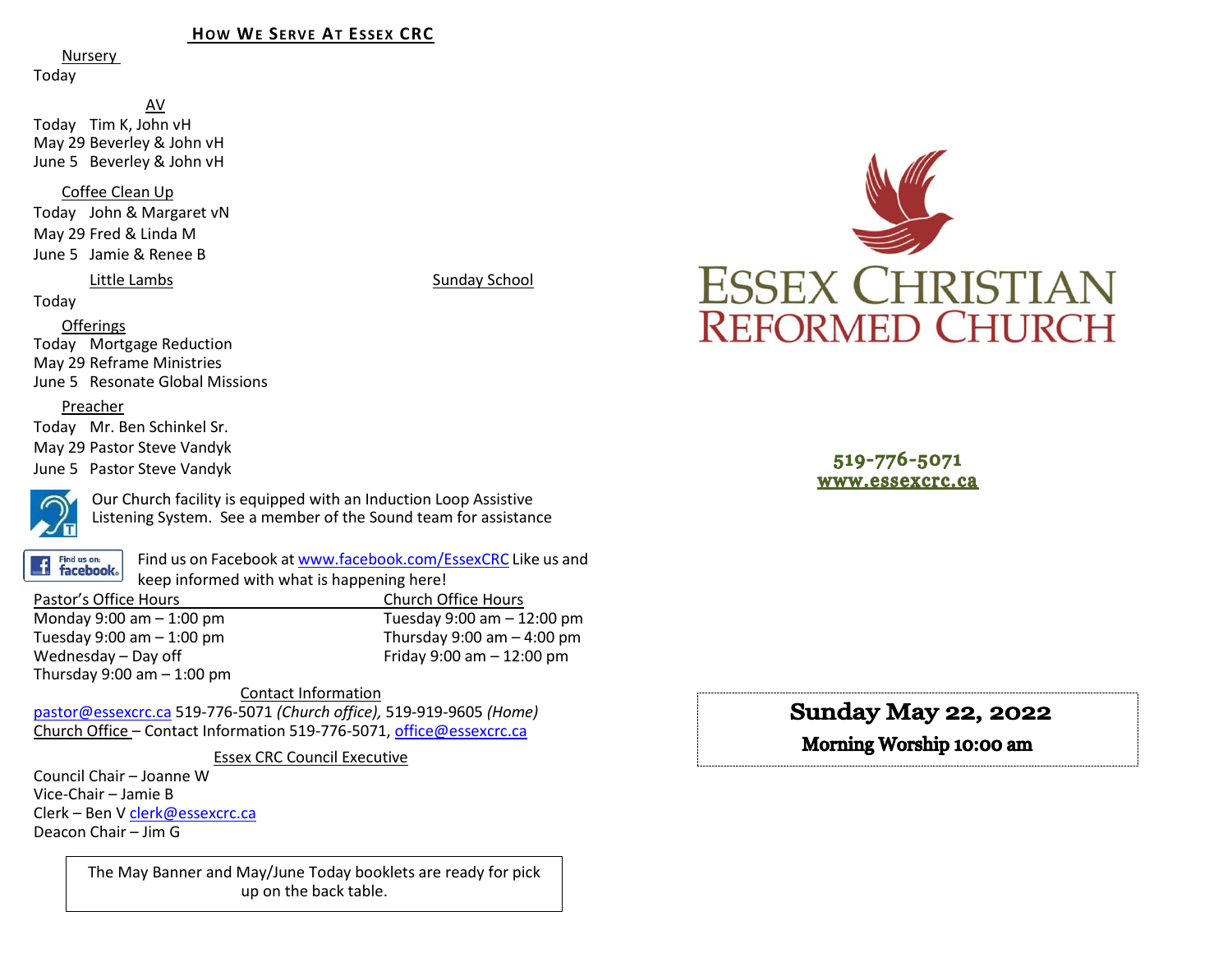#### **HOW WE SERVE AT ESSEX CRC**

Nursery

Today

AV Today Tim K, John vH May 29 Beverley & John vH June 5 Beverley & John vH

Coffee Clean Up

Today John & Margaret vN May 29 Fred & Linda M June 5 Jamie & Renee B

#### Little Lambs Sunday School

Today

Offerings

Today Mortgage Reduction May 29 Reframe Ministries June 5 Resonate Global Missions

#### Preacher

Today Mr. Ben Schinkel Sr. May 29 Pastor Steve Vandyk June 5 Pastor Steve Vandyk



Our Church facility is equipped with an Induction Loop Assistive Listening System. See a member of the Sound team for assistance

Find us on: **facebook**. Find us on Facebook a[t www.facebook.com/EssexCRC](http://www.facebook.com/EssexCRC) Like us and keep informed with what is happening here!

Pastor's Office Hours Church Office Hours Monday 9:00 am – 1:00 pm Tuesday 9:00 am – 12:00 pm Thursday 9:00 am  $-$  4:00 pm Wednesday – Day off  $V = 12:00 \text{ pm}$ Thursday  $9:00$  am  $-1:00$  pm

Contact Information [pastor@essexcrc.ca](mailto:pastor@essexcrc.ca) 519-776-5071 *(Church office),* 519-919-9605 *(Home)* Church Office – Contact Information 519-776-5071[, office@essexcrc.ca](mailto:office@essexcrc.ca)

Essex CRC Council Executive

Council Chair – Joanne W Vice-Chair – Jamie B Clerk – Ben V [clerk@essexcrc.ca](mailto:clerk@essexcrc.ca) Deacon Chair – Jim G

> The May Banner and May/June Today booklets are ready for pick up on the back table.



519-776-5071 www.essexcrc.ca

# **Sunday May 22, 2022**

Morning Worship 10:00 am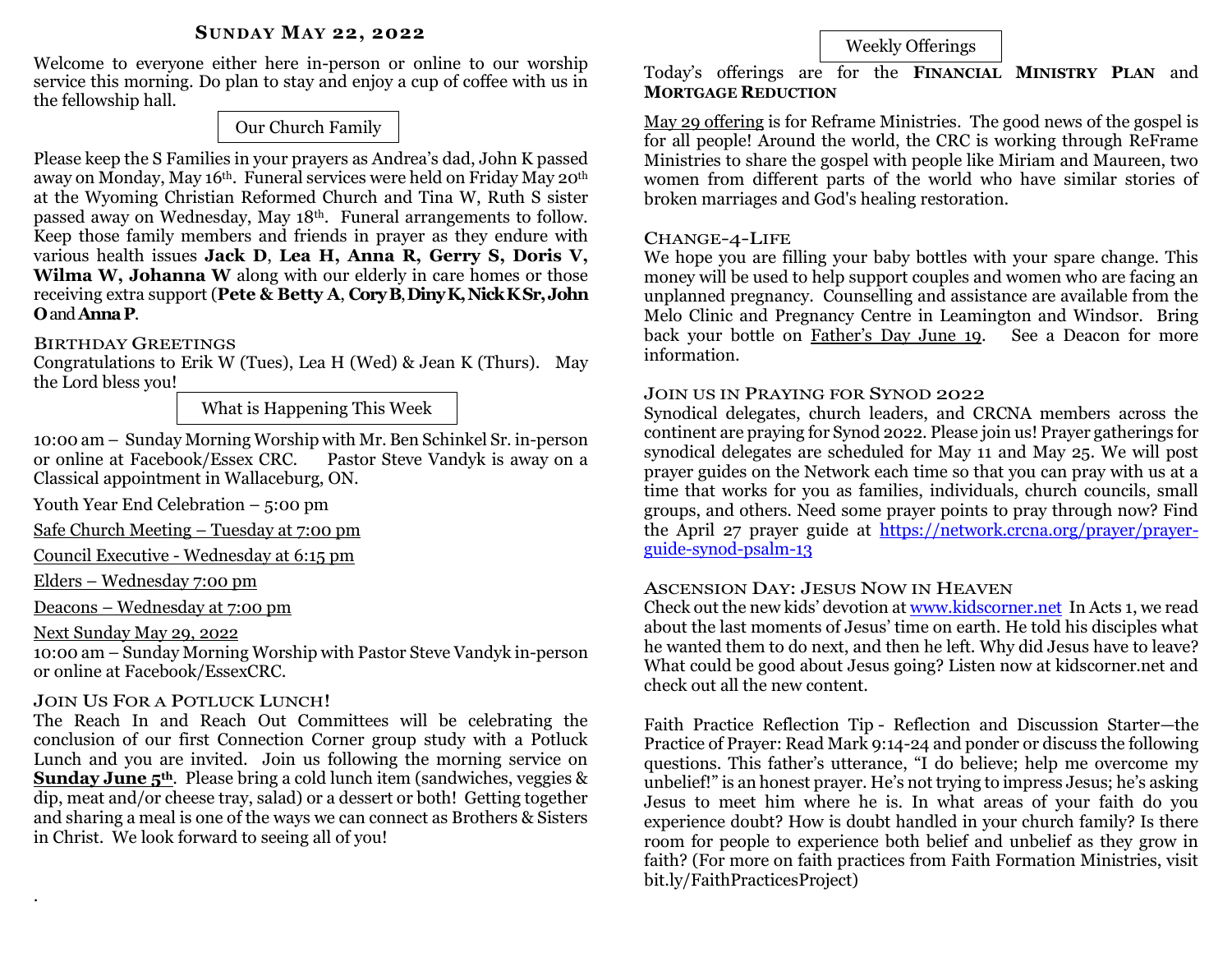#### **SUNDAY MAY 22, 2022**

Welcome to everyone either here in-person or online to our worship service this morning. Do plan to stay and enjoy a cup of coffee with us in the fellowship hall.

# Our Church Family

Please keep the S Families in your prayers as Andrea's dad, John K passed away on Monday, May 16<sup>th</sup>. Funeral services were held on Friday May 20<sup>th</sup> at the Wyoming Christian Reformed Church and Tina W, Ruth S sister passed away on Wednesday, May 18th. Funeral arrangements to follow. Keep those family members and friends in prayer as they endure with various health issues **Jack D**, **Lea H, Anna R, Gerry S, Doris V, Wilma W, Johanna W** along with our elderly in care homes or those receiving extra support (**Pete & Betty A**, **CoryB**, **DinyK, Nick KSr,John O**and **AnnaP**.

# BIRTHDAY GREETINGS

Congratulations to Erik W (Tues), Lea H (Wed) & Jean K (Thurs). May the Lord bless you!

What is Happening This Week

10:00 am – Sunday Morning Worship with Mr. Ben Schinkel Sr. in-person or online at Facebook/Essex CRC. Pastor Steve Vandyk is away on a Classical appointment in Wallaceburg, ON.

Youth Year End Celebration – 5:00 pm

Safe Church Meeting – Tuesday at 7:00 pm

Council Executive - Wednesday at 6:15 pm

Elders – Wednesday 7:00 pm

Deacons – Wednesday at 7:00 pm

Next Sunday May 29, 2022

.

10:00 am – Sunday Morning Worship with Pastor Steve Vandyk in-person or online at Facebook/EssexCRC.

#### JOIN US FOR A POTLUCK LUNCH!

The Reach In and Reach Out Committees will be celebrating the conclusion of our first Connection Corner group study with a Potluck Lunch and you are invited. Join us following the morning service on **Sunday June 5th**. Please bring a cold lunch item (sandwiches, veggies & dip, meat and/or cheese tray, salad) or a dessert or both! Getting together and sharing a meal is one of the ways we can connect as Brothers & Sisters in Christ. We look forward to seeing all of you!

# Weekly Offerings

Today's offerings are for the **FINANCIAL MINISTRY PLAN** and **MORTGAGE REDUCTION** 

May 29 offering is for Reframe Ministries. The good news of the gospel is for all people! Around the world, the CRC is working through ReFrame Ministries to share the gospel with people like Miriam and Maureen, two women from different parts of the world who have similar stories of broken marriages and God's healing restoration.

### CHANGE-4-LIFE

We hope you are filling your baby bottles with your spare change. This money will be used to help support couples and women who are facing an unplanned pregnancy. Counselling and assistance are available from the Melo Clinic and Pregnancy Centre in Leamington and Windsor. Bring back your bottle on Father's Day June 19. See a Deacon for more information.

#### JOIN US IN PRAYING FOR SYNOD 2022

Synodical delegates, church leaders, and CRCNA members across the continent are praying for Synod 2022. Please join us! Prayer gatherings for synodical delegates are scheduled for May 11 and May 25. We will post prayer guides on the Network each time so that you can pray with us at a time that works for you as families, individuals, church councils, small groups, and others. Need some prayer points to pray through now? Find the April 27 prayer guide at [https://network.crcna.org/prayer/prayer](https://network.crcna.org/prayer/prayer-guide-synod-psalm-13)[guide-synod-psalm-13](https://network.crcna.org/prayer/prayer-guide-synod-psalm-13)

#### ASCENSION DAY: JESUS NOW IN HEAVEN

Check out the new kids' devotion at [www.kidscorner.net](http://www.kidscorner.net/) In Acts 1, we read about the last moments of Jesus' time on earth. He told his disciples what he wanted them to do next, and then he left. Why did Jesus have to leave? What could be good about Jesus going? Listen now at kidscorner.net and check out all the new content.

Faith Practice Reflection Tip - Reflection and Discussion Starter—the Practice of Prayer: Read Mark 9:14-24 and ponder or discuss the following questions. This father's utterance, "I do believe; help me overcome my unbelief!" is an honest prayer. He's not trying to impress Jesus; he's asking Jesus to meet him where he is. In what areas of your faith do you experience doubt? How is doubt handled in your church family? Is there room for people to experience both belief and unbelief as they grow in faith? (For more on faith practices from Faith Formation Ministries, visit bit.ly/FaithPracticesProject)